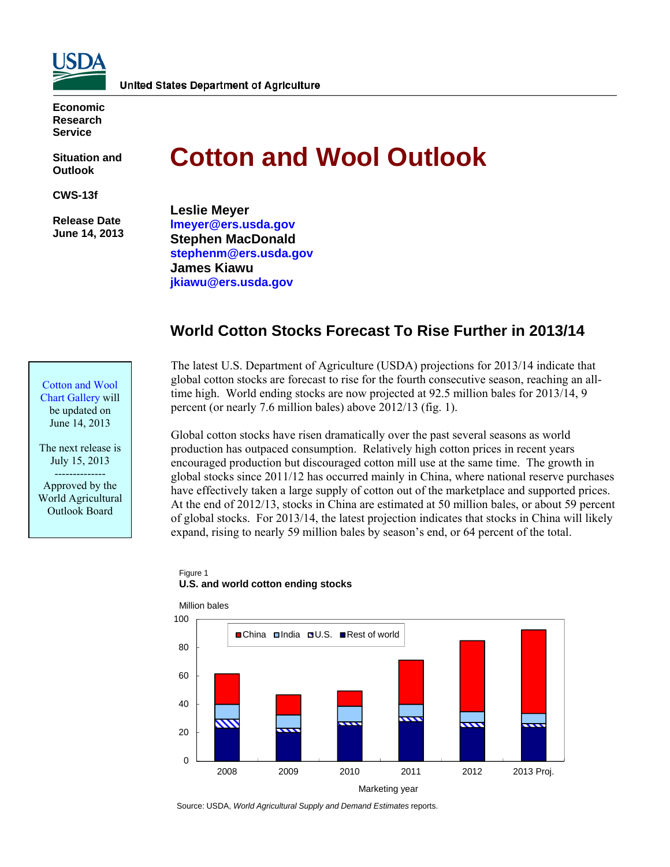

**Economic Research Service** 

**Situation and Outlook** 

**CWS-13f** 

 **Release Date June 14, 2013** 

Cotton and Wool [Chart Gallery will](http://www.ers.usda.gov/data-products/cotton-and-wool-chart-gallery.aspx)  be updated on June 14, 2013

The next release is July 15, 2013 -------------- Approved by the World Agricultural Outlook Board

# **Cotton and Wool Outlook**

**Leslie Meyer [lmeyer@ers.usda.gov](mailto:lmeyer@ers.usda.gov)  Stephen MacDonald [stephenm@ers.usda.gov](mailto:stephenm@ers.usda.gov)  James Kiawu <jkiawu@ers.usda.gov>**

# **World Cotton Stocks Forecast To Rise Further in 2013/14**



Global cotton stocks have risen dramatically over the past several seasons as world production has outpaced consumption. Relatively high cotton prices in recent years encouraged production but discouraged cotton mill use at the same time. The growth in global stocks since 2011/12 has occurred mainly in China, where national reserve purchases have effectively taken a large supply of cotton out of the marketplace and supported prices. At the end of 2012/13, stocks in China are estimated at 50 million bales, or about 59 percent of global stocks. For 2013/14, the latest projection indicates that stocks in China will likely expand, rising to nearly 59 million bales by season's end, or 64 percent of the total.

#### Figure 1 **U.S. and world cotton ending stocks**



Source: USDA, *World Agricultural Supply and Demand Estimates* reports.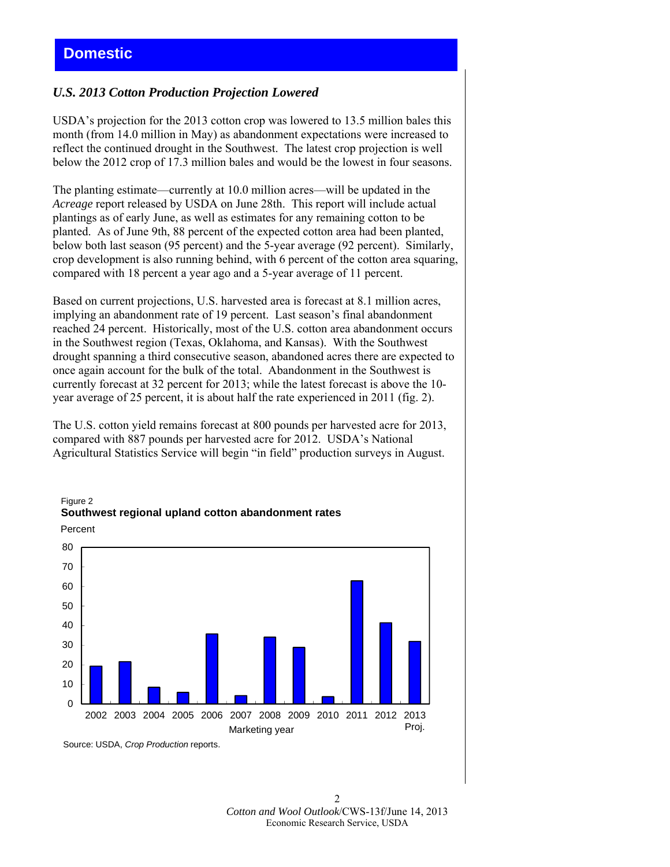## *U.S. 2013 Cotton Production Projection Lowered*

USDA's projection for the 2013 cotton crop was lowered to 13.5 million bales this month (from 14.0 million in May) as abandonment expectations were increased to reflect the continued drought in the Southwest. The latest crop projection is well below the 2012 crop of 17.3 million bales and would be the lowest in four seasons.

The planting estimate—currently at 10.0 million acres—will be updated in the *Acreage* report released by USDA on June 28th. This report will include actual plantings as of early June, as well as estimates for any remaining cotton to be planted. As of June 9th, 88 percent of the expected cotton area had been planted, below both last season (95 percent) and the 5-year average (92 percent). Similarly, crop development is also running behind, with 6 percent of the cotton area squaring, compared with 18 percent a year ago and a 5-year average of 11 percent.

Based on current projections, U.S. harvested area is forecast at 8.1 million acres, implying an abandonment rate of 19 percent. Last season's final abandonment reached 24 percent. Historically, most of the U.S. cotton area abandonment occurs in the Southwest region (Texas, Oklahoma, and Kansas). With the Southwest drought spanning a third consecutive season, abandoned acres there are expected to once again account for the bulk of the total. Abandonment in the Southwest is currently forecast at 32 percent for 2013; while the latest forecast is above the 10 year average of 25 percent, it is about half the rate experienced in 2011 (fig. 2).

The U.S. cotton yield remains forecast at 800 pounds per harvested acre for 2013, compared with 887 pounds per harvested acre for 2012. USDA's National Agricultural Statistics Service will begin "in field" production surveys in August.



## Figure 2 **Southwest regional upland cotton abandonment rates**

Source: USDA, *Crop Production* reports.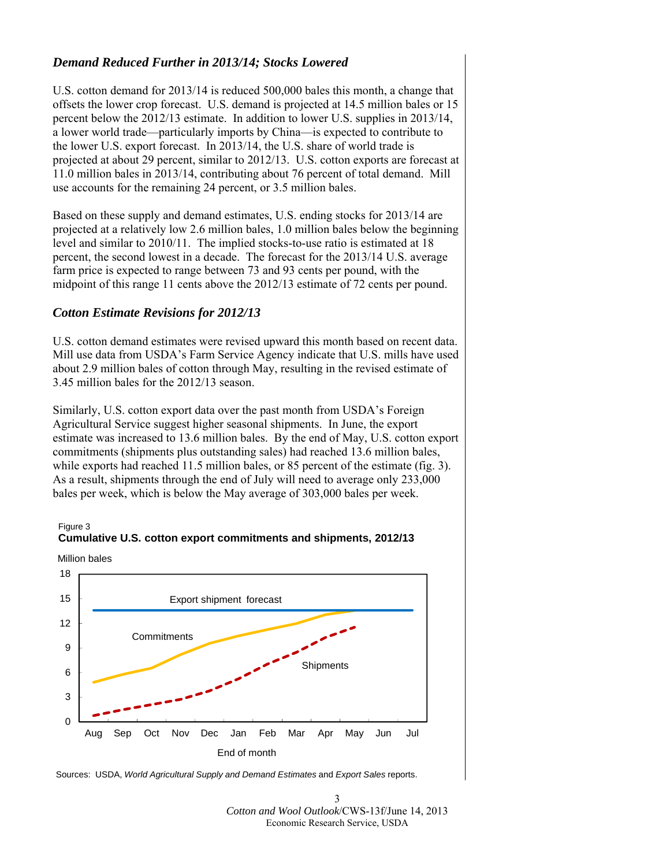## *Demand Reduced Further in 2013/14; Stocks Lowered*

U.S. cotton demand for 2013/14 is reduced 500,000 bales this month, a change that offsets the lower crop forecast. U.S. demand is projected at 14.5 million bales or 15 percent below the 2012/13 estimate. In addition to lower U.S. supplies in 2013/14, a lower world trade—particularly imports by China—is expected to contribute to the lower U.S. export forecast. In 2013/14, the U.S. share of world trade is projected at about 29 percent, similar to 2012/13. U.S. cotton exports are forecast at 11.0 million bales in 2013/14, contributing about 76 percent of total demand. Mill use accounts for the remaining 24 percent, or 3.5 million bales.

Based on these supply and demand estimates, U.S. ending stocks for 2013/14 are projected at a relatively low 2.6 million bales, 1.0 million bales below the beginning level and similar to 2010/11. The implied stocks-to-use ratio is estimated at 18 percent, the second lowest in a decade. The forecast for the 2013/14 U.S. average farm price is expected to range between 73 and 93 cents per pound, with the midpoint of this range 11 cents above the 2012/13 estimate of 72 cents per pound.

## *Cotton Estimate Revisions for 2012/13*

U.S. cotton demand estimates were revised upward this month based on recent data. Mill use data from USDA's Farm Service Agency indicate that U.S. mills have used about 2.9 million bales of cotton through May, resulting in the revised estimate of 3.45 million bales for the 2012/13 season.

Similarly, U.S. cotton export data over the past month from USDA's Foreign Agricultural Service suggest higher seasonal shipments. In June, the export estimate was increased to 13.6 million bales. By the end of May, U.S. cotton export commitments (shipments plus outstanding sales) had reached 13.6 million bales, while exports had reached 11.5 million bales, or 85 percent of the estimate (fig. 3). As a result, shipments through the end of July will need to average only 233,000 bales per week, which is below the May average of 303,000 bales per week.





Million bales

Sources: USDA, *World Agricultural Supply and Demand Estimates* and *Export Sales* reports.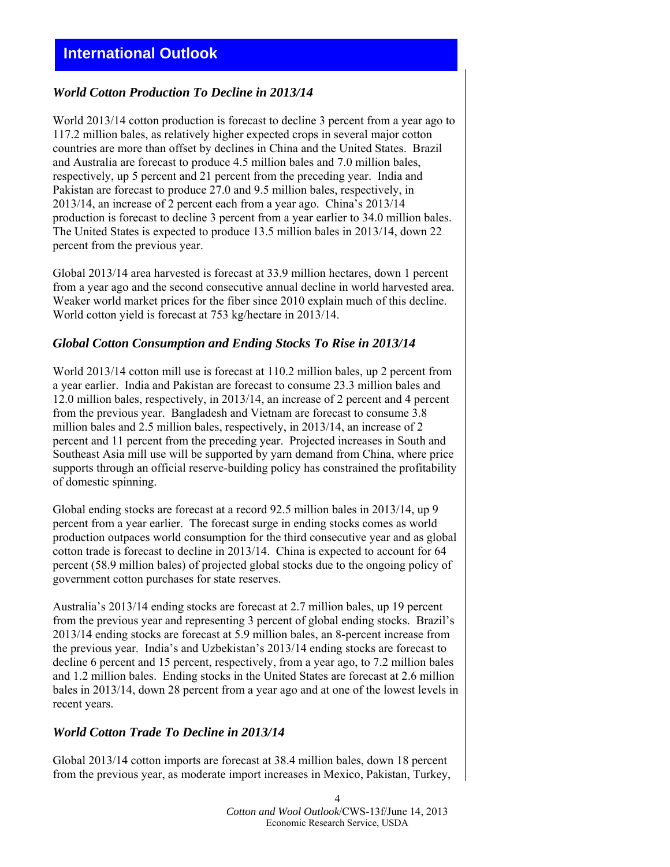## *World Cotton Production To Decline in 2013/14*

World 2013/14 cotton production is forecast to decline 3 percent from a year ago to 117.2 million bales, as relatively higher expected crops in several major cotton countries are more than offset by declines in China and the United States. Brazil and Australia are forecast to produce 4.5 million bales and 7.0 million bales, respectively, up 5 percent and 21 percent from the preceding year. India and Pakistan are forecast to produce 27.0 and 9.5 million bales, respectively, in 2013/14, an increase of 2 percent each from a year ago. China's 2013/14 production is forecast to decline 3 percent from a year earlier to 34.0 million bales. The United States is expected to produce 13.5 million bales in 2013/14, down 22 percent from the previous year.

Global 2013/14 area harvested is forecast at 33.9 million hectares, down 1 percent from a year ago and the second consecutive annual decline in world harvested area. Weaker world market prices for the fiber since 2010 explain much of this decline. World cotton yield is forecast at 753 kg/hectare in 2013/14.

## *Global Cotton Consumption and Ending Stocks To Rise in 2013/14*

World 2013/14 cotton mill use is forecast at 110.2 million bales, up 2 percent from a year earlier. India and Pakistan are forecast to consume 23.3 million bales and 12.0 million bales, respectively, in 2013/14, an increase of 2 percent and 4 percent from the previous year. Bangladesh and Vietnam are forecast to consume 3.8 million bales and 2.5 million bales, respectively, in 2013/14, an increase of 2 percent and 11 percent from the preceding year. Projected increases in South and Southeast Asia mill use will be supported by yarn demand from China, where price supports through an official reserve-building policy has constrained the profitability of domestic spinning.

Global ending stocks are forecast at a record 92.5 million bales in 2013/14, up 9 percent from a year earlier. The forecast surge in ending stocks comes as world production outpaces world consumption for the third consecutive year and as global cotton trade is forecast to decline in 2013/14. China is expected to account for 64 percent (58.9 million bales) of projected global stocks due to the ongoing policy of government cotton purchases for state reserves.

Australia's 2013/14 ending stocks are forecast at 2.7 million bales, up 19 percent from the previous year and representing 3 percent of global ending stocks. Brazil's 2013/14 ending stocks are forecast at 5.9 million bales, an 8-percent increase from the previous year. India's and Uzbekistan's 2013/14 ending stocks are forecast to decline 6 percent and 15 percent, respectively, from a year ago, to 7.2 million bales and 1.2 million bales. Ending stocks in the United States are forecast at 2.6 million bales in 2013/14, down 28 percent from a year ago and at one of the lowest levels in recent years.

## *World Cotton Trade To Decline in 2013/14*

Global 2013/14 cotton imports are forecast at 38.4 million bales, down 18 percent from the previous year, as moderate import increases in Mexico, Pakistan, Turkey,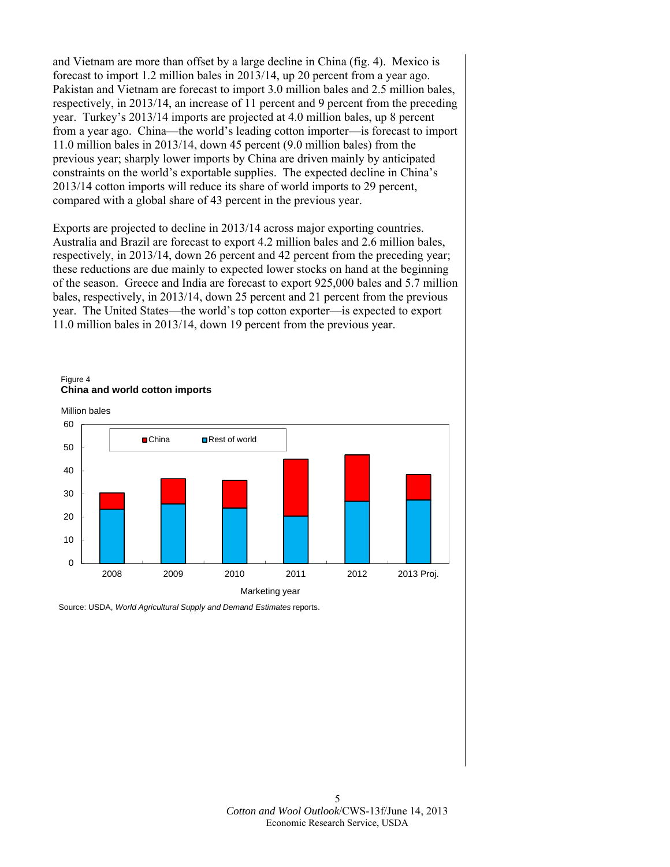and Vietnam are more than offset by a large decline in China (fig. 4). Mexico is forecast to import 1.2 million bales in 2013/14, up 20 percent from a year ago. Pakistan and Vietnam are forecast to import 3.0 million bales and 2.5 million bales, respectively, in 2013/14, an increase of 11 percent and 9 percent from the preceding year. Turkey's 2013/14 imports are projected at 4.0 million bales, up 8 percent from a year ago. China—the world's leading cotton importer—is forecast to import 11.0 million bales in 2013/14, down 45 percent (9.0 million bales) from the previous year; sharply lower imports by China are driven mainly by anticipated constraints on the world's exportable supplies. The expected decline in China's 2013/14 cotton imports will reduce its share of world imports to 29 percent, compared with a global share of 43 percent in the previous year.

Exports are projected to decline in 2013/14 across major exporting countries. Australia and Brazil are forecast to export 4.2 million bales and 2.6 million bales, respectively, in 2013/14, down 26 percent and 42 percent from the preceding year; these reductions are due mainly to expected lower stocks on hand at the beginning of the season. Greece and India are forecast to export 925,000 bales and 5.7 million bales, respectively, in 2013/14, down 25 percent and 21 percent from the previous year. The United States—the world's top cotton exporter—is expected to export 11.0 million bales in 2013/14, down 19 percent from the previous year.



Source: USDA, *World Agricultural Supply and Demand Estimates* reports.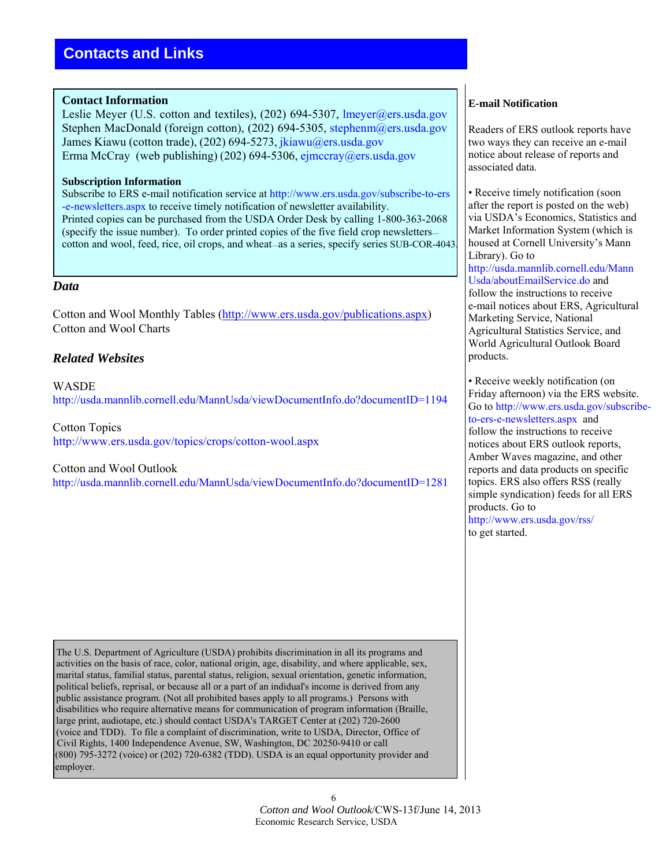### **Contact Information**

Leslie Meyer (U.S. cotton and textiles), (202) 694-5307, lmeyer@ers.usda.gov Stephen MacDonald (foreign cotton), (202) 694-5305, stephenm@ers.usda.gov James Kiawu (cotton trade), (202) 694-5273, [jkiawu@ers.usda.gov](mailto:jkiawu@ers.usda.gov) Erma McCray (web publishing) (202) 694-5306, [ejmccray@ers.usda.gov](mailto:ejmccray@ers.usda.gov)

#### **Subscription Information**

Subscribe to ERS e-mail notification service at [http://www.ers.usda.gov/subscribe-to-ers](http://www.ers.usda.gov/subscribe-to-ers.-e-newsletters.aspx) [-e-newsletters.aspx](http://www.ers.usda.gov/subscribe-to-ers-e-newsletters.aspx) to receive timely notification of newsletter availability. Printed copies can be purchased from the USDA Order Desk by calling 1-800-363-2068 (specify the issue number). To order printed copies of the five field crop newsletters cotton and wool, feed, rice, oil crops, and wheat—as a series, specify series SUB-COR-4043.

### *Data*

Cotton and Wool Monthly Tables [\(http://www.ers.usda.gov/publications.aspx\)](http://www.ers.usda.gov/publications.aspx) Cotton and Wool Charts

## *Related Websites*

**WASDE** [http://usda.mannlib.cornell.edu/MannUsda/viewDocumentInfo.do?documentID=1194](http://usda.mannlib.cornell.edu/MannUsda/browseAgency.do?action=searchByAgency&agency=ers&x=12&y=7)

Cotton Topics http://www.ers.usda.gov/topics/crops/cotton-wool.aspx

#### [Cotton and Wool Outlook](http://usda.mannlib.cornell.edu/MannUsda/viewDocumentInfo.do?documentID=1281)

http://usda.mannlib.cornell.edu/MannUsda/viewDocumentInfo.do?documentID=1281

 The U.S. Department of Agriculture (USDA) prohibits discrimination in all its programs and activities on the basis of race, color, national origin, age, disability, and where applicable, sex, marital status, familial status, parental status, religion, sexual orientation, genetic information, political beliefs, reprisal, or because all or a part of an indidual's income is derived from any public assistance program. (Not all prohibited bases apply to all programs.) Persons with disabilities who require alternative means for communication of program information (Braille, large print, audiotape, etc.) should contact USDA's TARGET Center at (202) 720-2600 (voice and TDD). To file a complaint of discrimination, write to USDA, Director, Office of Civil Rights, 1400 Independence Avenue, SW, Washington, DC 20250-9410 or call (800) 795-3272 (voice) or (202) 720-6382 (TDD). USDA is an equal opportunity provider and employer.

### **E-mail Notification**

Readers of ERS outlook reports have two ways they can receive an e-mail notice about release of reports and associated data.

• Receive timely notification (soon after the report is posted on the web) via USDA's Economics, Statistics and Market Information System (which is housed at Cornell University's Mann [Library\). Go to](http://usda.mannlib.cornell.edu/MannUsda/aboutEmailService.do)  [http://usda.mannlib.cornell.ed](http://usda.mannlib.cornell.edu/MannUsda/aboutEmailService.do)u/Mann Usda/aboutEmailService.do and follow the instructions to receive e-mail notices about ERS, Agricultural Marketing Service, National Agricultural Statistics Service, and

World Agricultural Outlook Board

products. • Receive weekly notification (on Friday [afternoon\) via the ERS website.](http://www.ers.usda.gov/subscribe-to-ers-e-newsletters.aspx)  Go to http://www.ers.usda.gov/subscribeto-ers-e-newsletters.aspx and follow the instructions to receive notices about ERS outlook reports, Amber Waves magazine, and other reports and data products on specific topics. ERS also offers RSS (really simple syndication) feeds for all ERS [products. Go to](http://www.ers.usda.gov/rss/) 

http://www.ers.usda.gov/rss/ to get started.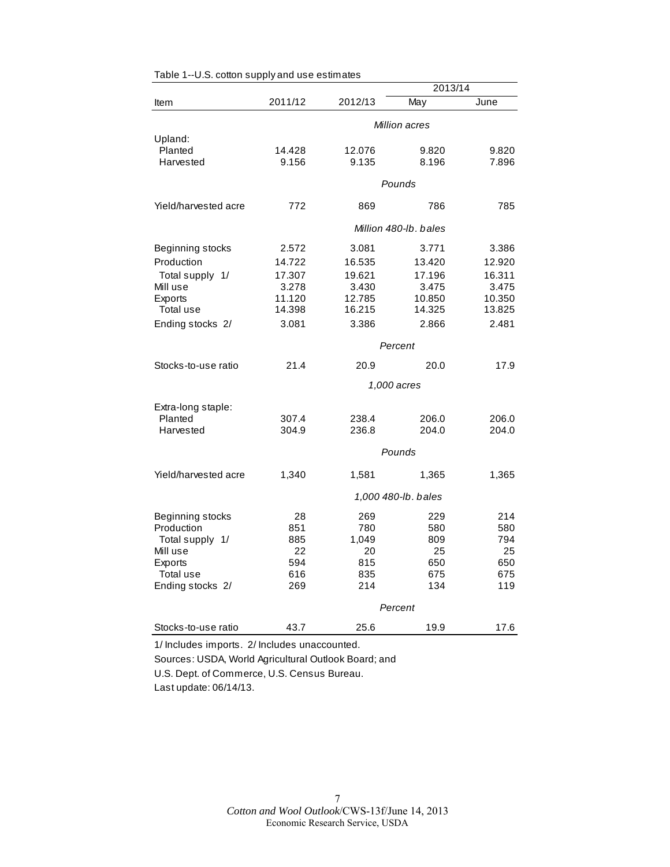|                      |         |         | 2013/14               |        |  |
|----------------------|---------|---------|-----------------------|--------|--|
| Item                 | 2011/12 | 2012/13 | May                   | June   |  |
|                      |         |         | Million acres         |        |  |
| Upland:              |         |         |                       |        |  |
| Planted              | 14.428  | 12.076  | 9.820                 | 9.820  |  |
| Harvested            | 9.156   | 9.135   | 8.196                 | 7.896  |  |
|                      |         |         |                       |        |  |
|                      |         |         | Pounds                |        |  |
| Yield/harvested acre | 772     | 869     | 786                   | 785    |  |
|                      |         |         | Million 480-lb, bales |        |  |
| Beginning stocks     | 2.572   | 3.081   | 3.771                 | 3.386  |  |
| Production           | 14.722  | 16.535  | 13.420                | 12.920 |  |
| Total supply 1/      | 17.307  | 19.621  | 17.196                | 16.311 |  |
| Mill use             | 3.278   | 3.430   | 3.475                 | 3.475  |  |
| Exports              | 11.120  | 12.785  | 10.850                | 10.350 |  |
| Total use            | 14.398  | 16.215  | 14.325                | 13.825 |  |
| Ending stocks 2/     | 3.081   | 3.386   | 2.866                 | 2.481  |  |
|                      | Percent |         |                       |        |  |
| Stocks-to-use ratio  | 21.4    | 20.9    | 20.0                  | 17.9   |  |
|                      |         |         | 1,000 acres           |        |  |
| Extra-long staple:   |         |         |                       |        |  |
| Planted              | 307.4   | 238.4   | 206.0                 | 206.0  |  |
| Harvested            | 304.9   | 236.8   | 204.0                 | 204.0  |  |
|                      |         |         |                       |        |  |
|                      |         |         | Pounds                |        |  |
| Yield/harvested acre | 1,340   | 1,581   | 1,365                 | 1,365  |  |
|                      |         |         | 1,000 480-lb. bales   |        |  |
| Beginning stocks     | 28      | 269     | 229                   | 214    |  |
| Production           | 851     | 780     | 580                   | 580    |  |
| Total supply 1/      | 885     | 1,049   | 809                   | 794    |  |
| Mill use             | 22      | 20      | 25                    | 25     |  |
| Exports              | 594     | 815     | 650                   | 650    |  |
| Total use            | 616     | 835     | 675                   | 675    |  |
| Ending stocks 2/     | 269     | 214     | 134                   | 119    |  |
|                      |         |         | Percent               |        |  |
| Stocks-to-use ratio  | 43.7    | 25.6    | 19.9                  | 17.6   |  |
|                      |         |         |                       |        |  |

Table 1--U.S. cotton supply and use estimates

1/ Includes imports. 2/ Includes unaccounted.

Sources: USDA, World Agricultural Outlook Board; and

U.S. Dept. of Commerce, U.S. Census Bureau.

Last update: 06/14/13.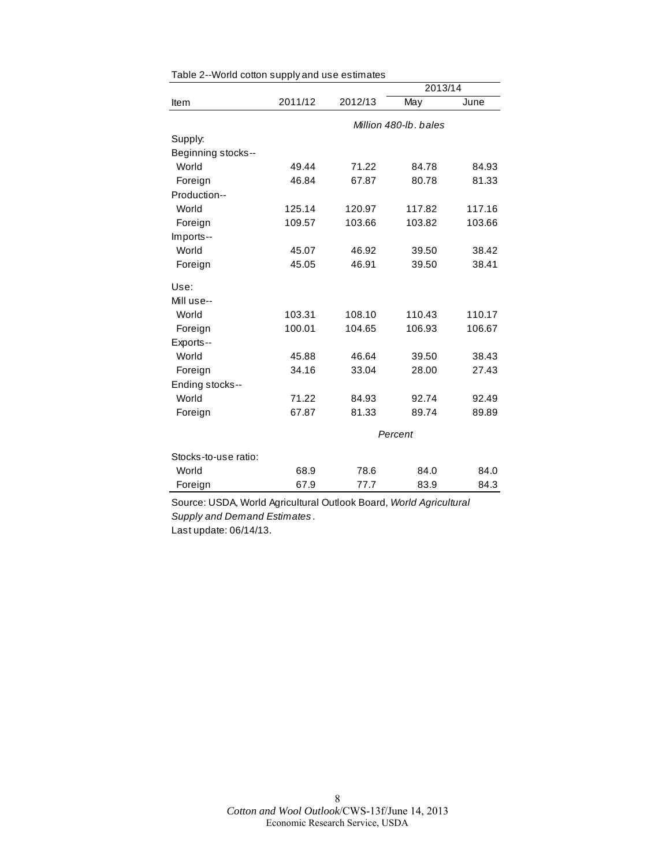|                      |         |         | 2013/14               |        |
|----------------------|---------|---------|-----------------------|--------|
| Item                 | 2011/12 | 2012/13 | May                   | June   |
|                      |         |         | Million 480-lb, bales |        |
| Supply:              |         |         |                       |        |
| Beginning stocks--   |         |         |                       |        |
| World                | 49.44   | 71.22   | 84.78                 | 84.93  |
| Foreign              | 46.84   | 67.87   | 80.78                 | 81.33  |
| Production--         |         |         |                       |        |
| World                | 125.14  | 120.97  | 117.82                | 117.16 |
| Foreign              | 109.57  | 103.66  | 103.82                | 103.66 |
| Imports--            |         |         |                       |        |
| World                | 45.07   | 46.92   | 39.50                 | 38.42  |
| Foreign              | 45.05   | 46.91   | 39.50                 | 38.41  |
| Use:                 |         |         |                       |        |
| Mill use--           |         |         |                       |        |
| World                | 103.31  | 108.10  | 110.43                | 110.17 |
| Foreign              | 100.01  | 104.65  | 106.93                | 106.67 |
| Exports--            |         |         |                       |        |
| World                | 45.88   | 46.64   | 39.50                 | 38.43  |
| Foreign              | 34.16   | 33.04   | 28.00                 | 27.43  |
| Ending stocks--      |         |         |                       |        |
| World                | 71.22   | 84.93   | 92.74                 | 92.49  |
| Foreign              | 67.87   | 81.33   | 89.74                 | 89.89  |
|                      |         |         | Percent               |        |
| Stocks-to-use ratio: |         |         |                       |        |
| World                | 68.9    | 78.6    | 84.0                  | 84.0   |
| Foreign              | 67.9    | 77.7    | 83.9                  | 84.3   |

Table 2--World cotton supply and use estimates

Source: USDA, World Agricultural Outlook Board, *World Agricultural Supply and Demand Estimates* . Last update: 06/14/13.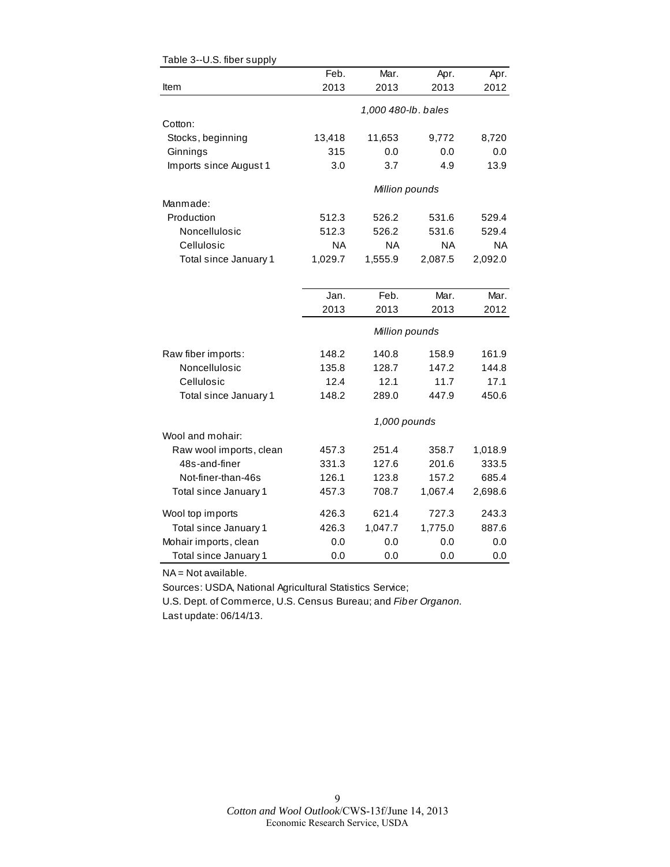| Item                    | Feb.<br>2013 | Mar.<br>2013        | Apr.<br>2013 | Apr.<br>2012 |
|-------------------------|--------------|---------------------|--------------|--------------|
|                         |              |                     |              |              |
|                         |              | 1,000 480-lb. bales |              |              |
| Cotton:                 |              |                     |              |              |
| Stocks, beginning       | 13,418       | 11,653              | 9,772        | 8,720        |
| Ginnings                | 315          | 0.0                 | 0.0          | 0.0          |
| Imports since August 1  | 3.0          | 3.7                 | 4.9          | 13.9         |
|                         |              | Million pounds      |              |              |
| Manmade:                |              |                     |              |              |
| Production              | 512.3        | 526.2               | 531.6        | 529.4        |
| Noncellulosic           | 512.3        | 526.2               | 531.6        | 529.4        |
| Cellulosic              | <b>NA</b>    | <b>NA</b>           | <b>NA</b>    | <b>NA</b>    |
| Total since January 1   | 1,029.7      | 1,555.9             | 2,087.5      | 2,092.0      |
|                         |              |                     |              |              |
|                         | Jan.         | Feb.                | Mar.         | Mar.         |
|                         | 2013         | 2013                | 2013         | 2012         |
|                         |              | Million pounds      |              |              |
| Raw fiber imports:      | 148.2        | 140.8               | 158.9        | 161.9        |
| Noncellulosic           | 135.8        | 128.7               | 147.2        | 144.8        |
| Cellulosic              | 12.4         | 12.1                | 11.7         | 17.1         |
| Total since January 1   | 148.2        | 289.0               | 447.9        | 450.6        |
|                         |              | 1,000 pounds        |              |              |
| Wool and mohair:        |              |                     |              |              |
| Raw wool imports, clean | 457.3        | 251.4               | 358.7        | 1,018.9      |
| 48s-and-finer           | 331.3        | 127.6               | 201.6        | 333.5        |
| Not-finer-than-46s      | 126.1        | 123.8               | 157.2        | 685.4        |
| Total since January 1   | 457.3        | 708.7               | 1,067.4      | 2,698.6      |
| Wool top imports        | 426.3        | 621.4               | 727.3        | 243.3        |
| Total since January 1   | 426.3        | 1,047.7             | 1,775.0      | 887.6        |
| Mohair imports, clean   | 0.0          | 0.0                 | 0.0          | 0.0          |
| Total since January 1   | 0.0          | 0.0                 | 0.0          | 0.0          |
|                         |              |                     |              |              |

#### Table 3--U.S. fiber supply

NA = Not available.

Sources: USDA, National Agricultural Statistics Service;

U.S. Dept. of Commerce, U.S. Census Bureau; and *Fiber Organon.* Last update: 06/14/13.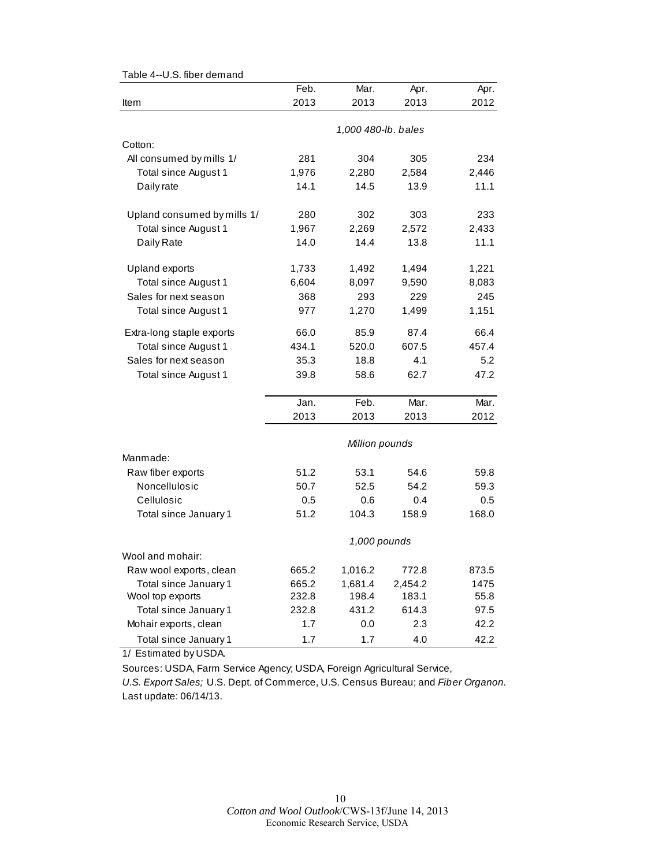| o.o. iiboi uomanu           |       |                     |         |       |
|-----------------------------|-------|---------------------|---------|-------|
|                             | Feb.  | Mar.                | Apr.    | Apr.  |
| Item                        | 2013  | 2013                | 2013    | 2012  |
|                             |       |                     |         |       |
|                             |       | 1,000 480-lb. bales |         |       |
| Cotton:                     |       |                     |         |       |
| All consumed by mills 1/    | 281   | 304                 | 305     | 234   |
| <b>Total since August 1</b> | 1,976 | 2,280               | 2,584   | 2,446 |
| Daily rate                  | 14.1  | 14.5                | 13.9    | 11.1  |
| Upland consumed by mills 1/ | 280   | 302                 | 303     | 233   |
| Total since August 1        | 1,967 | 2,269               | 2,572   | 2,433 |
| Daily Rate                  | 14.0  | 14.4                | 13.8    | 11.1  |
| Upland exports              | 1,733 | 1,492               | 1,494   | 1,221 |
| Total since August 1        | 6,604 | 8,097               | 9,590   | 8,083 |
| Sales for next season       | 368   | 293                 | 229     | 245   |
| Total since August 1        | 977   | 1,270               | 1,499   | 1,151 |
| Extra-long staple exports   | 66.0  | 85.9                | 87.4    | 66.4  |
| Total since August 1        | 434.1 | 520.0               | 607.5   | 457.4 |
| Sales for next season       | 35.3  | 18.8                | 4.1     | 5.2   |
| Total since August 1        | 39.8  | 58.6                | 62.7    | 47.2  |
|                             | Jan.  | Feb.                | Mar.    | Mar.  |
|                             | 2013  | 2013                | 2013    | 2012  |
|                             |       | Million pounds      |         |       |
| Manmade:                    |       |                     |         |       |
| Raw fiber exports           | 51.2  | 53.1                | 54.6    | 59.8  |
| Noncellulosic               | 50.7  | 52.5                | 54.2    | 59.3  |
| Cellulosic                  | 0.5   | 0.6                 | 0.4     | 0.5   |
| Total since January 1       | 51.2  | 104.3               | 158.9   | 168.0 |
|                             |       | 1,000 pounds        |         |       |
| Wool and mohair:            |       |                     |         |       |
| Raw wool exports, clean     | 665.2 | 1,016.2             | 772.8   | 873.5 |
| Total since January 1       | 665.2 | 1,681.4             | 2,454.2 | 1475  |
| Wool top exports            | 232.8 | 198.4               | 183.1   | 55.8  |
| Total since January 1       | 232.8 | 431.2               | 614.3   | 97.5  |
| Mohair exports, clean       | 1.7   | 0.0                 | 2.3     | 42.2  |
| Total since January 1       | 1.7   | 1.7                 | 4.0     | 42.2  |

Table 4--U.S. fiber demand

1/ Estimated by USDA.

Sources: USDA, Farm Service Agency; USDA, Foreign Agricultural Service,

*U.S. Export Sales;* U.S. Dept. of Commerce, U.S. Census Bureau; and *Fiber Organon.* Last update: 06/14/13.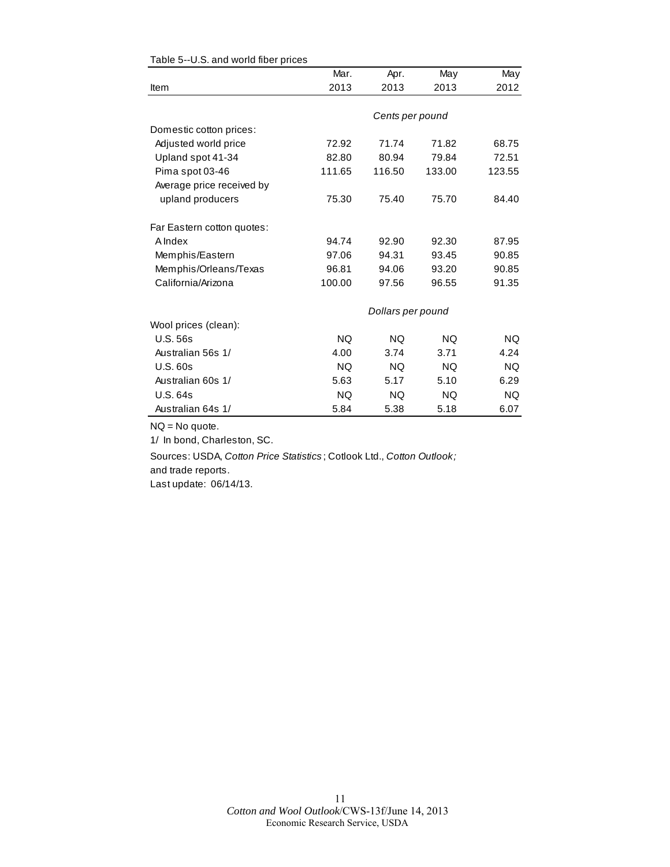|                            | Mar.      | Apr.              | May       | May       |
|----------------------------|-----------|-------------------|-----------|-----------|
| Item                       | 2013      | 2013              | 2013      | 2012      |
|                            |           |                   |           |           |
|                            |           | Cents per pound   |           |           |
| Domestic cotton prices:    |           |                   |           |           |
| Adjusted world price       | 72.92     | 71.74             | 71.82     | 68.75     |
| Upland spot 41-34          | 82.80     | 80.94             | 79.84     | 72.51     |
| Pima spot 03-46            | 111.65    | 116.50            | 133.00    | 123.55    |
| Average price received by  |           |                   |           |           |
| upland producers           | 75.30     | 75.40             | 75.70     | 84.40     |
| Far Eastern cotton quotes: |           |                   |           |           |
| <b>A</b> Index             | 94.74     | 92.90             | 92.30     | 87.95     |
| Memphis/Eastern            | 97.06     | 94.31             | 93.45     | 90.85     |
| Memphis/Orleans/Texas      | 96.81     | 94.06             | 93.20     | 90.85     |
| California/Arizona         | 100.00    | 97.56             | 96.55     | 91.35     |
|                            |           | Dollars per pound |           |           |
| Wool prices (clean):       |           |                   |           |           |
| <b>U.S. 56s</b>            | <b>NQ</b> | <b>NQ</b>         | <b>NQ</b> | <b>NQ</b> |
| Australian 56s 1/          | 4.00      | 3.74              | 3.71      | 4.24      |
| <b>U.S. 60s</b>            | <b>NQ</b> | <b>NQ</b>         | <b>NQ</b> | <b>NQ</b> |
| Australian 60s 1/          | 5.63      | 5.17              | 5.10      | 6.29      |
| U.S. 64s                   | <b>NQ</b> | NQ.               | NQ.       | <b>NQ</b> |
| Australian 64s 1/          | 5.84      | 5.38              | 5.18      | 6.07      |

#### Table 5--U.S. and world fiber prices

NQ = No quote.

1/ In bond, Charleston, SC.

Sources: USDA, *Cotton Price Statistics* ; Cotlook Ltd., *Cotton Outlook;*  and trade reports.

Last update: 06/14/13.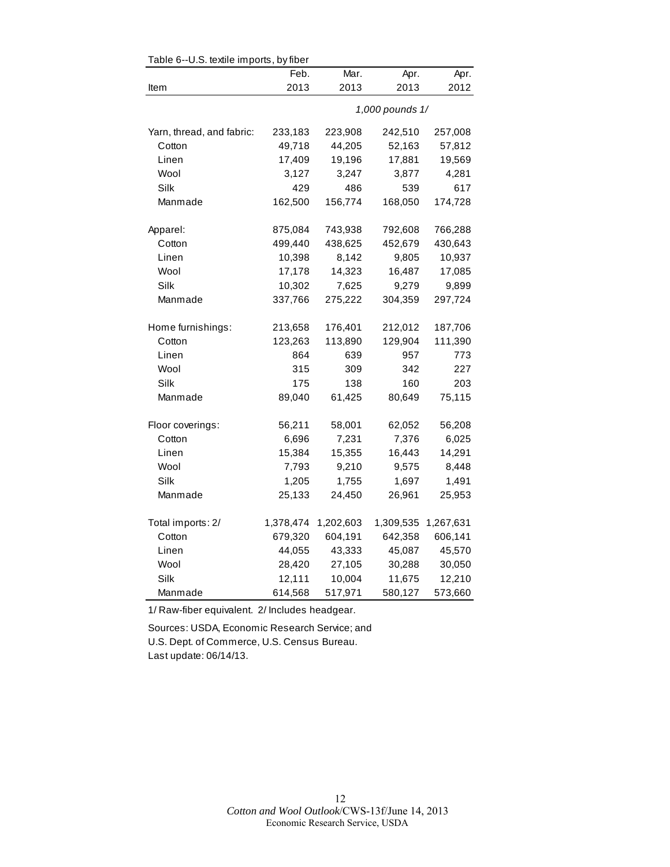| Mar.<br>Apr.<br>Apr.<br>Feb.<br>2013<br>2013<br>2013<br>2012<br>Item<br>1,000 pounds 1/<br>Yarn, thread, and fabric:<br>233,183<br>223,908<br>242,510<br>257,008<br>49,718<br>44,205<br>52,163<br>Cotton<br>57,812<br>17,409<br>19,196<br>17,881<br>19,569<br>Linen<br>3,247<br>4,281<br>Wool<br>3,127<br>3,877<br>Silk<br>429<br>539<br>617<br>486<br>162,500<br>156,774<br>168,050<br>174,728<br>Manmade<br>Apparel:<br>875,084<br>743,938<br>792,608<br>766,288<br>499,440<br>438,625<br>452,679<br>430,643<br>Cotton<br>8,142<br>10,398<br>9,805<br>10,937<br>Linen<br>Wool<br>17,178<br>14,323<br>17,085<br>16,487<br>Silk<br>10,302<br>7,625<br>9,279<br>9,899<br>337,766<br>Manmade<br>275,222<br>304,359<br>297,724<br>212,012<br>187,706<br>Home furnishings:<br>213,658<br>176,401<br>123,263<br>113,890<br>129,904<br>111,390<br>Cotton<br>Linen<br>864<br>639<br>957<br>773<br>Wool<br>315<br>309<br>342<br>227<br>Silk<br>160<br>203<br>175<br>138<br>Manmade<br>89,040<br>61,425<br>80,649<br>75,115<br>Floor coverings:<br>56,211<br>58,001<br>62,052<br>56,208<br>7,231<br>7,376<br>Cotton<br>6,696<br>6,025<br>15,384<br>15,355<br>16,443<br>14,291<br>Linen<br>Wool<br>7,793<br>9,210<br>9,575<br>8,448<br>1,755<br>Silk<br>1,205<br>1,697<br>1,491<br>Manmade<br>25,133<br>24,450<br>26,961<br>25,953<br>Total imports: 2/<br>1,378,474<br>1,202,603<br>1,309,535<br>1,267,631<br>604,191<br>606,141<br>Cotton<br>679,320<br>642,358<br>44,055<br>43,333<br>45,087<br>45,570<br>Linen<br>Wool<br>28,420<br>27,105<br>30,288<br>30,050<br>Silk<br>12,111<br>10,004<br>11,675<br>12,210<br>614,568<br>517,971<br>580,127<br>573,660<br>Manmade | Table 6--U.S. textile imports, by fiber |  |  |
|-----------------------------------------------------------------------------------------------------------------------------------------------------------------------------------------------------------------------------------------------------------------------------------------------------------------------------------------------------------------------------------------------------------------------------------------------------------------------------------------------------------------------------------------------------------------------------------------------------------------------------------------------------------------------------------------------------------------------------------------------------------------------------------------------------------------------------------------------------------------------------------------------------------------------------------------------------------------------------------------------------------------------------------------------------------------------------------------------------------------------------------------------------------------------------------------------------------------------------------------------------------------------------------------------------------------------------------------------------------------------------------------------------------------------------------------------------------------------------------------------------------------------------------------------------------------------------------------------------------------------------------------------------------------|-----------------------------------------|--|--|
|                                                                                                                                                                                                                                                                                                                                                                                                                                                                                                                                                                                                                                                                                                                                                                                                                                                                                                                                                                                                                                                                                                                                                                                                                                                                                                                                                                                                                                                                                                                                                                                                                                                                 |                                         |  |  |
|                                                                                                                                                                                                                                                                                                                                                                                                                                                                                                                                                                                                                                                                                                                                                                                                                                                                                                                                                                                                                                                                                                                                                                                                                                                                                                                                                                                                                                                                                                                                                                                                                                                                 |                                         |  |  |
|                                                                                                                                                                                                                                                                                                                                                                                                                                                                                                                                                                                                                                                                                                                                                                                                                                                                                                                                                                                                                                                                                                                                                                                                                                                                                                                                                                                                                                                                                                                                                                                                                                                                 |                                         |  |  |
|                                                                                                                                                                                                                                                                                                                                                                                                                                                                                                                                                                                                                                                                                                                                                                                                                                                                                                                                                                                                                                                                                                                                                                                                                                                                                                                                                                                                                                                                                                                                                                                                                                                                 |                                         |  |  |
|                                                                                                                                                                                                                                                                                                                                                                                                                                                                                                                                                                                                                                                                                                                                                                                                                                                                                                                                                                                                                                                                                                                                                                                                                                                                                                                                                                                                                                                                                                                                                                                                                                                                 |                                         |  |  |
|                                                                                                                                                                                                                                                                                                                                                                                                                                                                                                                                                                                                                                                                                                                                                                                                                                                                                                                                                                                                                                                                                                                                                                                                                                                                                                                                                                                                                                                                                                                                                                                                                                                                 |                                         |  |  |
|                                                                                                                                                                                                                                                                                                                                                                                                                                                                                                                                                                                                                                                                                                                                                                                                                                                                                                                                                                                                                                                                                                                                                                                                                                                                                                                                                                                                                                                                                                                                                                                                                                                                 |                                         |  |  |
|                                                                                                                                                                                                                                                                                                                                                                                                                                                                                                                                                                                                                                                                                                                                                                                                                                                                                                                                                                                                                                                                                                                                                                                                                                                                                                                                                                                                                                                                                                                                                                                                                                                                 |                                         |  |  |
|                                                                                                                                                                                                                                                                                                                                                                                                                                                                                                                                                                                                                                                                                                                                                                                                                                                                                                                                                                                                                                                                                                                                                                                                                                                                                                                                                                                                                                                                                                                                                                                                                                                                 |                                         |  |  |
|                                                                                                                                                                                                                                                                                                                                                                                                                                                                                                                                                                                                                                                                                                                                                                                                                                                                                                                                                                                                                                                                                                                                                                                                                                                                                                                                                                                                                                                                                                                                                                                                                                                                 |                                         |  |  |
|                                                                                                                                                                                                                                                                                                                                                                                                                                                                                                                                                                                                                                                                                                                                                                                                                                                                                                                                                                                                                                                                                                                                                                                                                                                                                                                                                                                                                                                                                                                                                                                                                                                                 |                                         |  |  |
|                                                                                                                                                                                                                                                                                                                                                                                                                                                                                                                                                                                                                                                                                                                                                                                                                                                                                                                                                                                                                                                                                                                                                                                                                                                                                                                                                                                                                                                                                                                                                                                                                                                                 |                                         |  |  |
|                                                                                                                                                                                                                                                                                                                                                                                                                                                                                                                                                                                                                                                                                                                                                                                                                                                                                                                                                                                                                                                                                                                                                                                                                                                                                                                                                                                                                                                                                                                                                                                                                                                                 |                                         |  |  |
|                                                                                                                                                                                                                                                                                                                                                                                                                                                                                                                                                                                                                                                                                                                                                                                                                                                                                                                                                                                                                                                                                                                                                                                                                                                                                                                                                                                                                                                                                                                                                                                                                                                                 |                                         |  |  |
|                                                                                                                                                                                                                                                                                                                                                                                                                                                                                                                                                                                                                                                                                                                                                                                                                                                                                                                                                                                                                                                                                                                                                                                                                                                                                                                                                                                                                                                                                                                                                                                                                                                                 |                                         |  |  |
|                                                                                                                                                                                                                                                                                                                                                                                                                                                                                                                                                                                                                                                                                                                                                                                                                                                                                                                                                                                                                                                                                                                                                                                                                                                                                                                                                                                                                                                                                                                                                                                                                                                                 |                                         |  |  |
|                                                                                                                                                                                                                                                                                                                                                                                                                                                                                                                                                                                                                                                                                                                                                                                                                                                                                                                                                                                                                                                                                                                                                                                                                                                                                                                                                                                                                                                                                                                                                                                                                                                                 |                                         |  |  |
|                                                                                                                                                                                                                                                                                                                                                                                                                                                                                                                                                                                                                                                                                                                                                                                                                                                                                                                                                                                                                                                                                                                                                                                                                                                                                                                                                                                                                                                                                                                                                                                                                                                                 |                                         |  |  |
|                                                                                                                                                                                                                                                                                                                                                                                                                                                                                                                                                                                                                                                                                                                                                                                                                                                                                                                                                                                                                                                                                                                                                                                                                                                                                                                                                                                                                                                                                                                                                                                                                                                                 |                                         |  |  |
|                                                                                                                                                                                                                                                                                                                                                                                                                                                                                                                                                                                                                                                                                                                                                                                                                                                                                                                                                                                                                                                                                                                                                                                                                                                                                                                                                                                                                                                                                                                                                                                                                                                                 |                                         |  |  |
|                                                                                                                                                                                                                                                                                                                                                                                                                                                                                                                                                                                                                                                                                                                                                                                                                                                                                                                                                                                                                                                                                                                                                                                                                                                                                                                                                                                                                                                                                                                                                                                                                                                                 |                                         |  |  |
|                                                                                                                                                                                                                                                                                                                                                                                                                                                                                                                                                                                                                                                                                                                                                                                                                                                                                                                                                                                                                                                                                                                                                                                                                                                                                                                                                                                                                                                                                                                                                                                                                                                                 |                                         |  |  |
|                                                                                                                                                                                                                                                                                                                                                                                                                                                                                                                                                                                                                                                                                                                                                                                                                                                                                                                                                                                                                                                                                                                                                                                                                                                                                                                                                                                                                                                                                                                                                                                                                                                                 |                                         |  |  |
|                                                                                                                                                                                                                                                                                                                                                                                                                                                                                                                                                                                                                                                                                                                                                                                                                                                                                                                                                                                                                                                                                                                                                                                                                                                                                                                                                                                                                                                                                                                                                                                                                                                                 |                                         |  |  |
|                                                                                                                                                                                                                                                                                                                                                                                                                                                                                                                                                                                                                                                                                                                                                                                                                                                                                                                                                                                                                                                                                                                                                                                                                                                                                                                                                                                                                                                                                                                                                                                                                                                                 |                                         |  |  |
|                                                                                                                                                                                                                                                                                                                                                                                                                                                                                                                                                                                                                                                                                                                                                                                                                                                                                                                                                                                                                                                                                                                                                                                                                                                                                                                                                                                                                                                                                                                                                                                                                                                                 |                                         |  |  |
|                                                                                                                                                                                                                                                                                                                                                                                                                                                                                                                                                                                                                                                                                                                                                                                                                                                                                                                                                                                                                                                                                                                                                                                                                                                                                                                                                                                                                                                                                                                                                                                                                                                                 |                                         |  |  |
|                                                                                                                                                                                                                                                                                                                                                                                                                                                                                                                                                                                                                                                                                                                                                                                                                                                                                                                                                                                                                                                                                                                                                                                                                                                                                                                                                                                                                                                                                                                                                                                                                                                                 |                                         |  |  |
|                                                                                                                                                                                                                                                                                                                                                                                                                                                                                                                                                                                                                                                                                                                                                                                                                                                                                                                                                                                                                                                                                                                                                                                                                                                                                                                                                                                                                                                                                                                                                                                                                                                                 |                                         |  |  |
|                                                                                                                                                                                                                                                                                                                                                                                                                                                                                                                                                                                                                                                                                                                                                                                                                                                                                                                                                                                                                                                                                                                                                                                                                                                                                                                                                                                                                                                                                                                                                                                                                                                                 |                                         |  |  |
|                                                                                                                                                                                                                                                                                                                                                                                                                                                                                                                                                                                                                                                                                                                                                                                                                                                                                                                                                                                                                                                                                                                                                                                                                                                                                                                                                                                                                                                                                                                                                                                                                                                                 |                                         |  |  |
|                                                                                                                                                                                                                                                                                                                                                                                                                                                                                                                                                                                                                                                                                                                                                                                                                                                                                                                                                                                                                                                                                                                                                                                                                                                                                                                                                                                                                                                                                                                                                                                                                                                                 |                                         |  |  |
|                                                                                                                                                                                                                                                                                                                                                                                                                                                                                                                                                                                                                                                                                                                                                                                                                                                                                                                                                                                                                                                                                                                                                                                                                                                                                                                                                                                                                                                                                                                                                                                                                                                                 |                                         |  |  |

 $\mathsf{TableR}$  U.S. to the imports, by fib

1/ Raw-fiber equivalent. 2/ Includes headgear.

Sources: USDA, Economic Research Service; and U.S. Dept. of Commerce, U.S. Census Bureau. Last update: 06/14/13.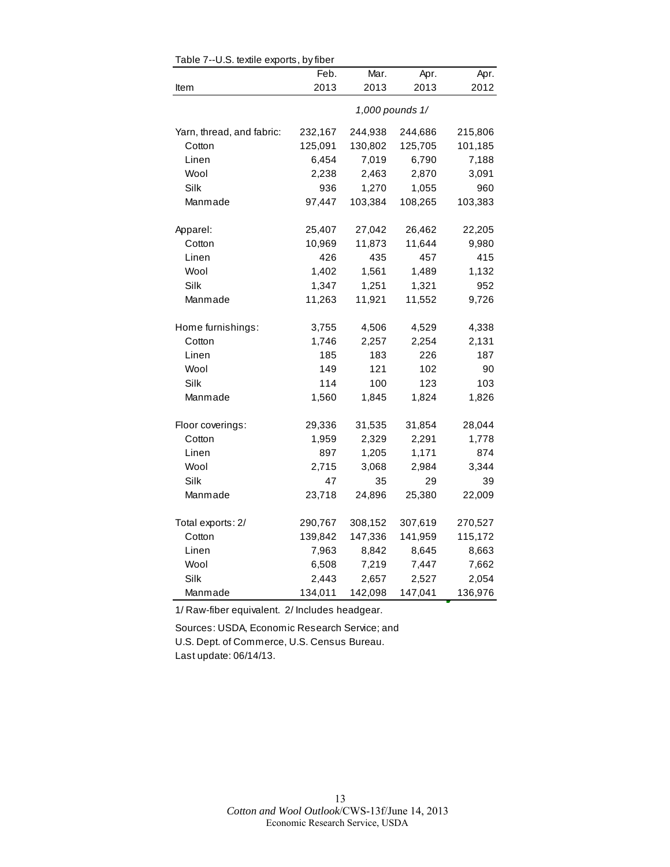|                           | Feb.    | Mar.    | Apr.            | Apr.    |
|---------------------------|---------|---------|-----------------|---------|
| Item                      | 2013    | 2013    | 2013            | 2012    |
|                           |         |         | 1,000 pounds 1/ |         |
| Yarn, thread, and fabric: | 232,167 | 244,938 | 244,686         | 215,806 |
| Cotton                    | 125,091 | 130,802 | 125,705         | 101,185 |
| Linen                     | 6,454   | 7,019   | 6,790           | 7,188   |
| Wool                      | 2,238   | 2,463   | 2,870           | 3,091   |
| Silk                      | 936     | 1,270   | 1,055           | 960     |
| Manmade                   | 97.447  | 103,384 | 108,265         | 103,383 |
| Apparel:                  | 25,407  | 27,042  | 26,462          | 22,205  |
| Cotton                    | 10,969  | 11,873  | 11,644          | 9,980   |
| Linen                     | 426     | 435     | 457             | 415     |
| Wool                      | 1,402   | 1,561   | 1,489           | 1,132   |
| Silk                      | 1,347   | 1,251   | 1,321           | 952     |
| Manmade                   | 11,263  | 11,921  | 11,552          | 9,726   |
| Home furnishings:         | 3,755   | 4,506   | 4,529           | 4,338   |
| Cotton                    | 1,746   | 2,257   | 2,254           | 2,131   |
| Linen                     | 185     | 183     | 226             | 187     |
| Wool                      | 149     | 121     | 102             | 90      |
| Silk                      | 114     | 100     | 123             | 103     |
| Manmade                   | 1,560   | 1,845   | 1,824           | 1,826   |
| Floor coverings:          | 29,336  | 31,535  | 31,854          | 28,044  |
| Cotton                    | 1,959   | 2,329   | 2,291           | 1,778   |
| Linen                     | 897     | 1,205   | 1,171           | 874     |
| Wool                      | 2,715   | 3,068   | 2,984           | 3,344   |
| Silk                      | 47      | 35      | 29              | 39      |
| Manmade                   | 23,718  | 24,896  | 25,380          | 22,009  |
| Total exports: 2/         | 290,767 | 308,152 | 307,619         | 270,527 |
| Cotton                    | 139,842 | 147,336 | 141,959         | 115,172 |
| Linen                     | 7,963   | 8,842   | 8,645           | 8,663   |
| Wool                      | 6,508   | 7,219   | 7,447           | 7,662   |
| Silk                      | 2,443   | 2,657   | 2,527           | 2,054   |
| Manmade                   | 134,011 | 142,098 | 147,041         | 136,976 |

Table 7--U.S. textile exports, by fiber

1/ Raw-fiber equivalent. 2/ Includes headgear.

Sources: USDA, Economic Research Service; and U.S. Dept. of Commerce, U.S. Census Bureau. Last update: 06/14/13.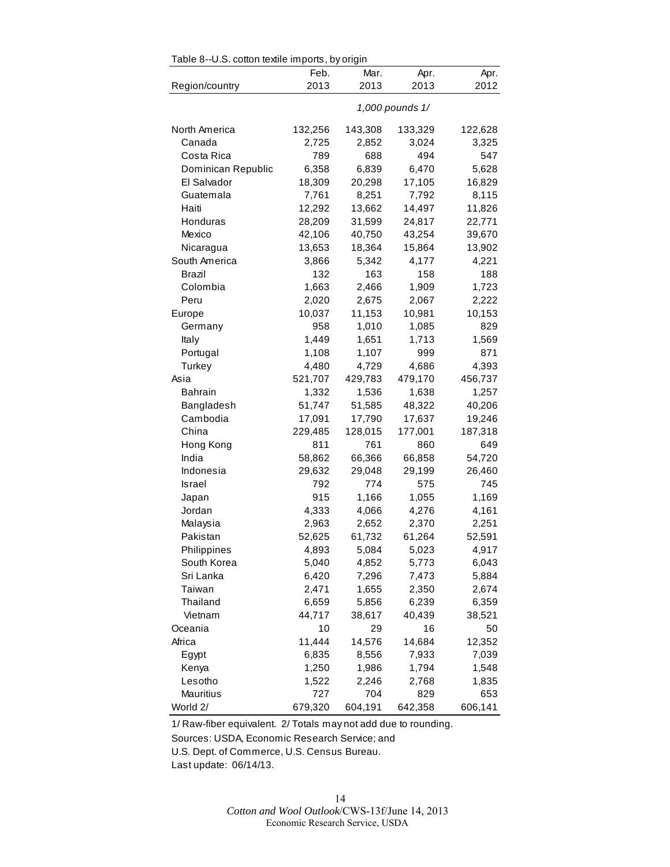| Table 8--U.S. cotton textile imports, by origin |                 |         |         |         |  |
|-------------------------------------------------|-----------------|---------|---------|---------|--|
|                                                 | Feb.            | Mar.    | Apr.    | Apr.    |  |
| Region/country                                  | 2013            | 2013    | 2013    | 2012    |  |
|                                                 | 1,000 pounds 1/ |         |         |         |  |
| North America                                   | 132,256         | 143,308 | 133,329 | 122,628 |  |
| Canada                                          | 2,725           | 2,852   | 3,024   | 3,325   |  |
| Costa Rica                                      | 789             | 688     | 494     | 547     |  |
| Dominican Republic                              | 6,358           | 6,839   | 6,470   | 5,628   |  |
| El Salvador                                     | 18,309          | 20,298  | 17,105  | 16,829  |  |
| Guatemala                                       | 7,761           | 8,251   | 7,792   | 8,115   |  |
| Haiti                                           | 12,292          | 13,662  | 14,497  | 11,826  |  |
| Honduras                                        | 28,209          | 31,599  | 24,817  | 22,771  |  |
| Mexico                                          | 42,106          | 40,750  | 43,254  | 39,670  |  |
| Nicaragua                                       | 13,653          | 18,364  | 15,864  | 13,902  |  |
| South America                                   | 3,866           | 5,342   | 4,177   | 4,221   |  |
| Brazil                                          | 132             | 163     | 158     | 188     |  |
| Colombia                                        | 1,663           | 2,466   | 1,909   | 1,723   |  |
| Peru                                            | 2,020           | 2,675   | 2,067   | 2,222   |  |
| Europe                                          | 10,037          | 11,153  | 10,981  | 10,153  |  |
| Germany                                         | 958             | 1,010   | 1,085   | 829     |  |
| Italy                                           | 1,449           | 1,651   | 1,713   | 1,569   |  |
| Portugal                                        | 1,108           | 1,107   | 999     | 871     |  |
| Turkey                                          | 4,480           | 4,729   | 4,686   | 4,393   |  |
| Asia                                            | 521,707         | 429,783 | 479,170 | 456,737 |  |
| Bahrain                                         | 1,332           | 1,536   | 1,638   | 1,257   |  |
| Bangladesh                                      | 51,747          | 51,585  | 48,322  | 40,206  |  |
| Cambodia                                        | 17,091          | 17,790  | 17,637  | 19,246  |  |
| China                                           | 229,485         | 128,015 | 177,001 | 187,318 |  |
| Hong Kong                                       | 811             | 761     | 860     | 649     |  |
| India                                           | 58,862          | 66,366  | 66,858  | 54,720  |  |
| Indonesia                                       | 29,632          | 29,048  | 29,199  | 26,460  |  |
| Israel                                          | 792             | 774     | 575     | 745     |  |
| Japan                                           | 915             | 1,166   | 1,055   | 1,169   |  |
| Jordan                                          | 4,333           | 4,066   | 4,276   | 4,161   |  |
| Malaysia                                        | 2,963           | 2,652   | 2,370   | 2,251   |  |
| Pakistan                                        | 52,625          | 61,732  | 61,264  | 52,591  |  |
| Philippines                                     | 4,893           | 5,084   | 5,023   | 4,917   |  |
| South Korea                                     | 5,040           | 4,852   | 5,773   | 6,043   |  |
| Sri Lanka                                       | 6,420           | 7,296   | 7,473   | 5,884   |  |
| Taiwan                                          | 2,471           | 1,655   | 2,350   | 2,674   |  |
| Thailand                                        | 6,659           | 5,856   | 6,239   | 6,359   |  |
| Vietnam                                         | 44,717          | 38,617  | 40,439  | 38,521  |  |
| Oceania                                         | 10              | 29      | 16      | 50      |  |
| Africa                                          | 11,444          | 14,576  | 14,684  | 12,352  |  |
| Egypt                                           | 6,835           | 8,556   | 7,933   | 7,039   |  |
| Kenya                                           | 1,250           | 1,986   | 1,794   | 1,548   |  |
| Lesotho                                         | 1,522           | 2,246   | 2,768   | 1,835   |  |
| Mauritius                                       | 727             | 704     | 829     | 653     |  |
| World 2/                                        | 679,320         | 604,191 | 642,358 | 606,141 |  |

1/ Raw-fiber equivalent. 2/ Totals may not add due to rounding.

Sources: USDA, Economic Research Service; and

U.S. Dept. of Commerce, U.S. Census Bureau.

Last update: 06/14/13.

14 *Cotton and Wool Outlook*/CWS-13f/June 14, 2013 Economic Research Service, USDA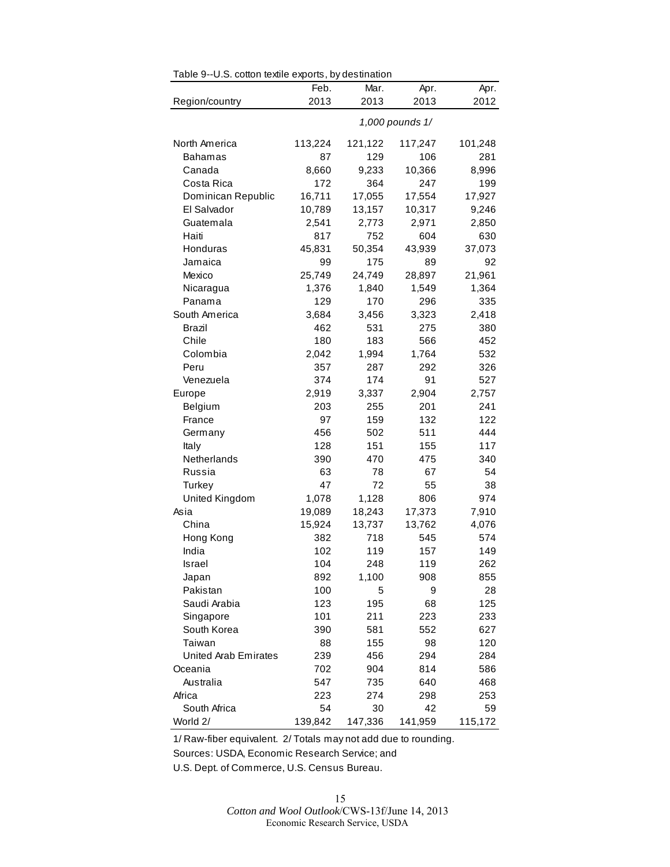|                             | Feb.    | Mar.    | Apr.    | Apr.    |
|-----------------------------|---------|---------|---------|---------|
| Region/country              | 2013    | 2013    | 2013    | 2012    |
|                             |         |         |         |         |
| North America               | 113,224 | 121,122 | 117,247 | 101,248 |
| <b>Bahamas</b>              | 87      | 129     | 106     | 281     |
| Canada                      | 8,660   | 9,233   | 10,366  | 8,996   |
| Costa Rica                  | 172     | 364     | 247     | 199     |
| Dominican Republic          | 16,711  | 17,055  | 17,554  | 17,927  |
| El Salvador                 | 10,789  | 13,157  | 10,317  | 9,246   |
| Guatemala                   | 2,541   | 2,773   | 2,971   | 2,850   |
| Haiti                       | 817     | 752     | 604     | 630     |
| Honduras                    | 45,831  | 50,354  | 43,939  | 37,073  |
| Jamaica                     | 99      | 175     | 89      | 92      |
| Mexico                      | 25,749  | 24,749  | 28,897  | 21,961  |
| Nicaragua                   | 1,376   | 1,840   | 1,549   | 1,364   |
| Panama                      | 129     | 170     | 296     | 335     |
| South America               | 3,684   | 3,456   | 3,323   | 2,418   |
| Brazil                      | 462     | 531     | 275     | 380     |
| Chile                       | 180     | 183     | 566     | 452     |
| Colombia                    | 2,042   | 1,994   | 1,764   | 532     |
| Peru                        | 357     | 287     | 292     | 326     |
| Venezuela                   | 374     | 174     | 91      | 527     |
| Europe                      | 2,919   | 3,337   | 2,904   | 2,757   |
| Belgium                     | 203     | 255     | 201     | 241     |
| France                      | 97      | 159     | 132     | 122     |
| Germany                     | 456     | 502     | 511     | 444     |
| Italy                       | 128     | 151     | 155     | 117     |
| Netherlands                 | 390     | 470     | 475     | 340     |
| Russia                      | 63      | 78      | 67      | 54      |
| Turkey                      | 47      | 72      | 55      | 38      |
| United Kingdom              | 1,078   | 1,128   | 806     | 974     |
| Asia                        | 19,089  | 18,243  | 17,373  | 7,910   |
| China                       | 15,924  | 13,737  | 13,762  | 4,076   |
| Hong Kong                   | 382     | 718     | 545     | 574     |
| India                       | 102     | 119     | 157     | 149     |
| Israel                      | 104     | 248     | 119     | 262     |
| Japan                       | 892     | 1,100   | 908     | 855     |
| Pakistan                    | 100     | 5       | 9       | 28      |
| Saudi Arabia                | 123     | 195     | 68      | 125     |
| Singapore                   | 101     | 211     | 223     | 233     |
| South Korea                 | 390     | 581     | 552     | 627     |
| Taiwan                      | 88      | 155     | 98      | 120     |
| <b>United Arab Emirates</b> | 239     | 456     | 294     | 284     |
| Oceania                     | 702     | 904     | 814     | 586     |
| Australia                   | 547     | 735     | 640     | 468     |
| Africa                      | 223     | 274     | 298     | 253     |
| South Africa                | 54      | 30      | 42      | 59      |
| World 2/                    | 139,842 | 147,336 | 141,959 | 115,172 |

Table 9--U.S. cotton textile exports, by destination

1/ Raw-fiber equivalent. 2/ Totals may not add due to rounding.

Sources: USDA, Economic Research Service; and

U.S. Dept. of Commerce, U.S. Census Bureau.

15 *Cotton and Wool Outlook*/CWS-13f/June 14, 2013 Economic Research Service, USDA